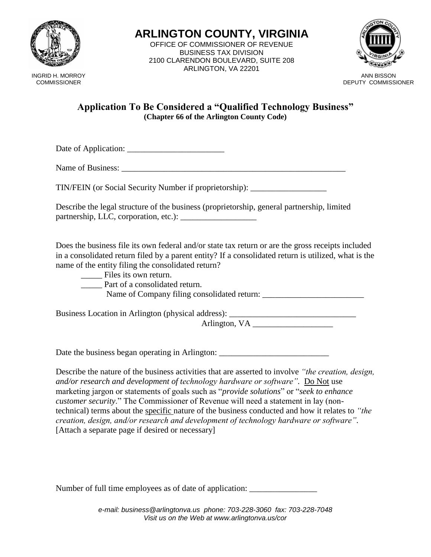

INGRID H. MORROY **COMMISSIONER** 

**ARLINGTON COUNTY, VIRGINIA** OFFICE OF COMMISSIONER OF REVENUE BUSINESS TAX DIVISION 2100 CLARENDON BOULEVARD, SUITE 208 ARLINGTON, VA 22201



ANN BISSON DEPUTY COMMISSIONER

## **Application To Be Considered a "Qualified Technology Business" (Chapter 66 of the Arlington County Code)**

Date of Application: \_\_\_\_\_\_\_\_\_\_\_\_\_\_\_\_\_\_\_\_\_\_\_

Name of Business: \_\_\_\_\_\_\_\_\_\_\_\_\_\_\_\_\_\_\_\_\_\_\_\_\_\_\_\_\_\_\_\_\_\_\_\_\_\_\_\_\_\_\_\_\_\_\_\_\_\_\_\_\_

TIN/FEIN (or Social Security Number if proprietorship): \_\_\_\_\_\_\_\_\_\_\_\_\_\_\_\_\_\_

Describe the legal structure of the business (proprietorship, general partnership, limited partnership, LLC, corporation, etc.): \_\_\_\_\_\_\_\_\_\_\_\_\_\_\_\_\_\_

Does the business file its own federal and/or state tax return or are the gross receipts included in a consolidated return filed by a parent entity? If a consolidated return is utilized, what is the name of the entity filing the consolidated return?

Files its own return.

Part of a consolidated return.

Name of Company filing consolidated return:

Business Location in Arlington (physical address): \_\_\_\_\_\_\_\_\_\_\_\_\_\_\_\_\_\_\_\_\_\_\_\_\_\_\_\_\_

Arlington, VA

Date the business began operating in Arlington:

Describe the nature of the business activities that are asserted to involve *"the creation, design, and/or research and development of technology hardware or software".* Do Not use marketing jargon or statements of goals such as "*provide solutions*" or "*seek to enhance customer security*." The Commissioner of Revenue will need a statement in lay (nontechnical) terms about the specific nature of the business conducted and how it relates to *"the creation, design, and/or research and development of technology hardware or software".*  [Attach a separate page if desired or necessary]

Number of full time employees as of date of application:

*e-mail: business@arlingtonva.us phone: 703-228-3060 fax: 703-228-7048 Visit us on the Web at www.arlingtonva.us/cor*